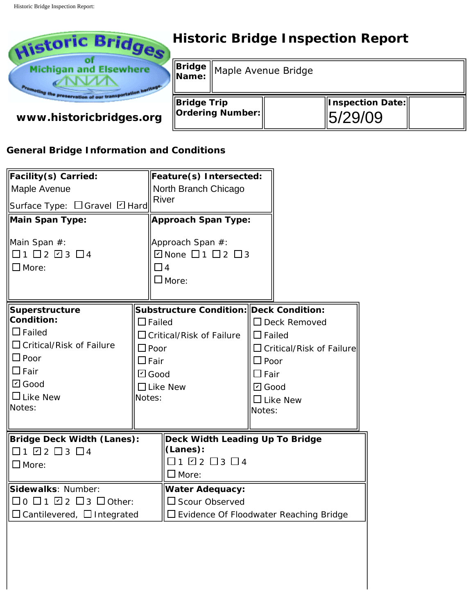

# **Historic Bridge Inspection Report**

|                                        | Bridge Maple Avenue Bridge |  |                              |  |
|----------------------------------------|----------------------------|--|------------------------------|--|
| <b>Bridge Trip</b><br>Ordering Number: |                            |  | Inspection Date: <br>5/29/09 |  |

## **General Bridge Information and Conditions**

| www.historicbridges.org                                                                                                                                                                   |                                                                                                                                                                     | <b>Ordering Number:</b>                                                                                                                                                                                      |                                                              |                                                                                            | 5/29/09 |
|-------------------------------------------------------------------------------------------------------------------------------------------------------------------------------------------|---------------------------------------------------------------------------------------------------------------------------------------------------------------------|--------------------------------------------------------------------------------------------------------------------------------------------------------------------------------------------------------------|--------------------------------------------------------------|--------------------------------------------------------------------------------------------|---------|
| <b>General Bridge Information and Conditions</b>                                                                                                                                          |                                                                                                                                                                     |                                                                                                                                                                                                              |                                                              |                                                                                            |         |
| Facility(s) Carried:<br>Maple Avenue<br>Surface Type: □ Gravel □ Hard<br>Main Span Type:<br>Main Span #:<br>$\Box$ 1 $\Box$ 2 $\Box$ 3 $\Box$ 4<br>$\Box$ More:                           | <b>River</b><br>$\Box$ 4<br>$\square$ More:                                                                                                                         | Feature(s) Intersected:<br>North Branch Chicago<br><b>Approach Span Type:</b><br>Approach Span #:<br>$\Box$ None $\Box$ 1 $\Box$ 2 $\Box$ 3                                                                  |                                                              |                                                                                            |         |
| Superstructure<br>Condition:<br>$\Box$ Failed<br>$\Box$ Critical/Risk of Failure<br>$\square$ Poor<br>$\Box$ Fair<br>$\boxdot$ Good<br>$\Box$ Like New<br>Notes:                          | Substructure Condition: Deck Condition:<br>$\Box$ Failed<br>$\Box$ Critical/Risk of Failure<br>$\Box$ Poor<br>$\square$ Fair<br>☑ Good<br>$\Box$ Like New<br>Notes: |                                                                                                                                                                                                              | $\square$ Poor<br>$\square$ Fair<br>$\boxdot$ Good<br>Notes: | $\Box$ Deck Removed<br>$\Box$ Failed<br>$\Box$ Critical/Risk of Failure<br>$\Box$ Like New |         |
| <b>Bridge Deck Width (Lanes):</b><br>$\Box$ 1 $\Box$ 2 $\Box$ 3 $\Box$ 4<br>$\square$ More:<br>Sidewalks: Number:<br>□0 □1 ☑2 □3 □ Other:<br>$\square$ Cantilevered, $\square$ Integrated |                                                                                                                                                                     | Deck Width Leading Up To Bridge<br>(Lanes):<br>$\Box$ 1 $\Box$ 2 $\Box$ 3 $\Box$ 4<br>$\square$ More:<br><b>Water Adequacy:</b><br>$\Box$ Scour Observed<br>$\square$ Evidence Of Floodwater Reaching Bridge |                                                              |                                                                                            |         |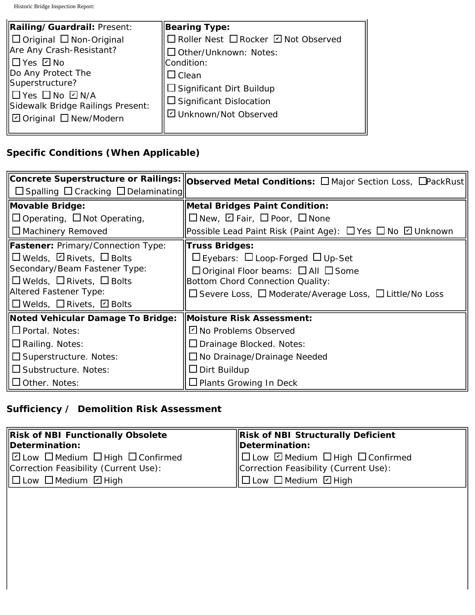| Railing/Guardrail: Present:                         | Bearing Type:                         |
|-----------------------------------------------------|---------------------------------------|
| $\Box$ Original $\Box$ Non-Original                 | □ Roller Nest □ Rocker □ Not Observed |
| Are Any Crash-Resistant?                            | Other/Unknown: Notes:                 |
| ∥□Yes ☑ No                                          | Condition:                            |
| Do Any Protect The                                  | ⊿ Clean                               |
| Superstructure?                                     | $\Box$ Significant Dirt Buildup       |
| ∥□yes □no ☑n/a<br>Sidewalk Bridge Railings Present: | $\Box$ Significant Dislocation        |
| □ Original □ New/Modern                             | □ Unknown/Not Observed                |
|                                                     |                                       |

### **Specific Conditions (When Applicable)**

|                                                     | $\vert$ Concrete Superstructure or Railings: $\vert\vert$ Observed Metal Conditions: $\Box$ Major Section Loss, $\Box$ PackRust $\vert$ |
|-----------------------------------------------------|-----------------------------------------------------------------------------------------------------------------------------------------|
| $\Box$ Spalling $\Box$ Cracking $\Box$ Delaminating |                                                                                                                                         |
| Movable Bridge:                                     | Metal Bridges Paint Condition:                                                                                                          |
| $\Box$ Operating, $\Box$ Not Operating,             | $\Box$ New, $\Box$ Fair, $\Box$ Poor, $\Box$ None                                                                                       |
| $\Box$ Machinery Removed                            | Possible Lead Paint Risk (Paint Age): □ Yes □ No □ Unknown                                                                              |
| <b>Fastener:</b> Primary/Connection Type:           | Truss Bridges:                                                                                                                          |
| $\Box$ Welds, $\Box$ Rivets, $\Box$ Bolts           | $\Box$ Eyebars: $\Box$ Loop-Forged $\Box$ Up-Set                                                                                        |
| Secondary/Beam Fastener Type:                       | $\Box$ Original Floor beams: $\Box$ All $\Box$ Some                                                                                     |
| $\Box$ Welds, $\Box$ Rivets, $\Box$ Bolts           | Bottom Chord Connection Quality:                                                                                                        |
| Altered Fastener Type:                              | □ Severe Loss, □ Moderate/Average Loss, □ Little/No Loss                                                                                |
| $\Box$ Welds, $\Box$ Rivets, $\Box$ Bolts           |                                                                                                                                         |
| <b>Noted Vehicular Damage To Bridge:</b>            | Moisture Risk Assessment:                                                                                                               |
| $\Box$ Portal. Notes:                               | □ No Problems Observed                                                                                                                  |
| $\Box$ Railing. Notes:                              | □ Drainage Blocked. Notes:                                                                                                              |
| $\Box$ Superstructure. Notes:                       | $\Box$ No Drainage/Drainage Needed                                                                                                      |
| $\Box$ Substructure. Notes:                         | $\Box$ Dirt Buildup                                                                                                                     |
| $\Box$ Other. Notes:                                | $\Box$ Plants Growing In Deck                                                                                                           |

#### **Sufficiency / Demolition Risk Assessment**

| Risk of NBI Functionally Obsolete                                             | Risk of NBI Structurally Deficient                    |  |
|-------------------------------------------------------------------------------|-------------------------------------------------------|--|
| Determination:                                                                | $\parallel$ Determination:                            |  |
| $\mathbb H$ $\square$ Low $\square$ Medium $\square$ High $\square$ Confirmed | $\Box$ Low $\Box$ Medium $\Box$ High $\Box$ Confirmed |  |
| Correction Feasibility (Current Use):                                         | Correction Feasibility (Current Use):                 |  |
| $\Box$ Low $\Box$ Medium $\Box$ High                                          | $  \Box$ Low $\Box$ Medium $\Box$ High                |  |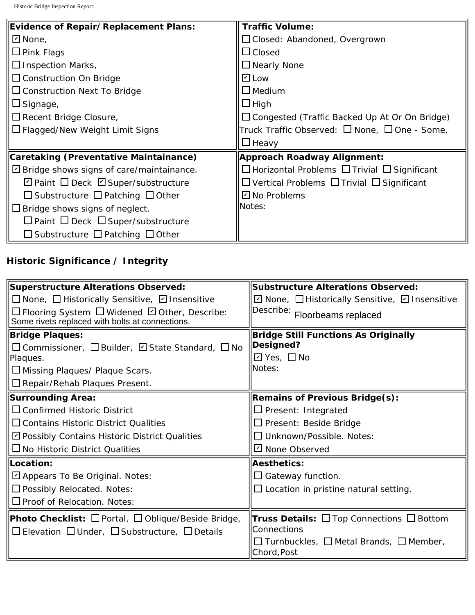| Evidence of Repair/Replacement Plans:              | <b>Traffic Volume:</b>                                       |  |  |
|----------------------------------------------------|--------------------------------------------------------------|--|--|
| $□$ None,                                          | $\Box$ Closed: Abandoned, Overgrown                          |  |  |
| $\Box$ Pink Flags                                  | $\Box$ Closed                                                |  |  |
| $\Box$ Inspection Marks,                           | $\Box$ Nearly None                                           |  |  |
| $\Box$ Construction On Bridge                      | $\overline{L}$ Low                                           |  |  |
| $\Box$ Construction Next To Bridge                 | $\square$ Medium                                             |  |  |
| $\square$ Signage,                                 | $\Box$ High                                                  |  |  |
| $\Box$ Recent Bridge Closure,                      | $\Box$ Congested (Traffic Backed Up At Or On Bridge)         |  |  |
| $\Box$ Flagged/New Weight Limit Signs              | Truck Traffic Observed: $\Box$ None, $\Box$ One - Some,      |  |  |
|                                                    | $\Box$ Heavy                                                 |  |  |
| Caretaking (Preventative Maintainance)             | Approach Roadway Alignment:                                  |  |  |
| $\boxdot$ Bridge shows signs of care/maintainance. | $\Box$ Horizontal Problems $\Box$ Trivial $\Box$ Significant |  |  |
| $\Box$ Paint $\Box$ Deck $\Box$ Super/substructure | $\Box$ Vertical Problems $\Box$ Trivial $\Box$ Significant   |  |  |
| $\Box$ Substructure $\Box$ Patching $\Box$ Other   | $\boxdot$ No Problems                                        |  |  |
| $\Box$ Bridge shows signs of neglect.              | Notes:                                                       |  |  |
| $\Box$ Paint $\Box$ Deck $\Box$ Super/substructure |                                                              |  |  |
| $\Box$ Substructure $\Box$ Patching $\Box$ Other   |                                                              |  |  |

## **Historic Significance / Integrity**

| Superstructure Alterations Observed:                                                                                                       | <b>Substructure Alterations Observed:</b>                                       |  |
|--------------------------------------------------------------------------------------------------------------------------------------------|---------------------------------------------------------------------------------|--|
| □ None, □ Historically Sensitive, □ Insensitive                                                                                            | ☑ None, □ Historically Sensitive, ☑ Insensitive                                 |  |
| □ Flooring System □ Widened □ Other, Describe:<br>Some rivets replaced with bolts at connections.                                          | Describe: Floorbeams replaced                                                   |  |
| <b>Bridge Plaques:</b>                                                                                                                     | <b>Bridge Still Functions As Originally</b>                                     |  |
| $\Box$ Commissioner, $\Box$ Builder, $\Box$ State Standard, $\Box$ No                                                                      | Designed?                                                                       |  |
| Plaques.                                                                                                                                   | $\Box$ Yes, $\Box$ No                                                           |  |
| $\square$ Missing Plaques/ Plaque Scars.                                                                                                   | <b>Notes:</b>                                                                   |  |
| $\Box$ Repair/Rehab Plaques Present.                                                                                                       |                                                                                 |  |
| <b>Surrounding Area:</b>                                                                                                                   | <b>Remains of Previous Bridge(s):</b>                                           |  |
| $\Box$ Confirmed Historic District                                                                                                         | $\Box$ Present: Integrated                                                      |  |
| $\square$ Contains Historic District Qualities                                                                                             | $\Box$ Present: Beside Bridge                                                   |  |
| □ Possibly Contains Historic District Qualities                                                                                            | $\Box$ Unknown/Possible. Notes:                                                 |  |
| $\square$ No Historic District Qualities                                                                                                   | □ None Observed                                                                 |  |
| Location:                                                                                                                                  | <b>Aesthetics:</b>                                                              |  |
| ☑ Appears To Be Original. Notes:                                                                                                           | $\square$ Gateway function.                                                     |  |
| $\Box$ Possibly Relocated. Notes:                                                                                                          | $\square$ Location in pristine natural setting.                                 |  |
| $\Box$ Proof of Relocation. Notes:                                                                                                         |                                                                                 |  |
| <b>Photo Checklist:</b> $\Box$ Portal, $\Box$ Oblique/Beside Bridge,<br>$\Box$ Elevation $\Box$ Under, $\Box$ Substructure, $\Box$ Details | <b>Truss Details:</b> $\Box$ Top Connections $\Box$ Bottom<br>Connections       |  |
|                                                                                                                                            | $\square$ Turnbuckles, $\square$ Metal Brands, $\square$ Member,<br>Chord, Post |  |